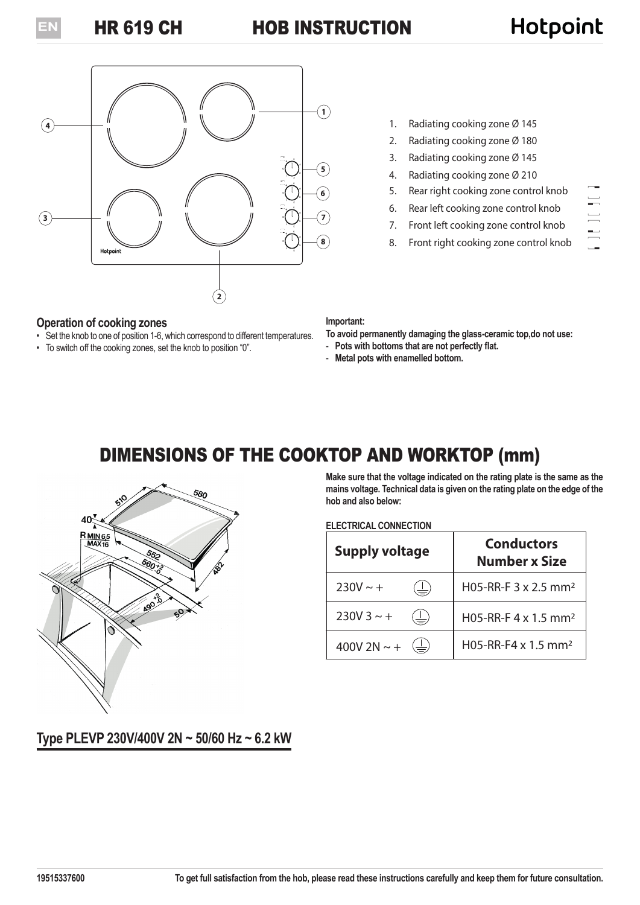## HR 619 CH HOB INSTRUCTION

# **Hotpoint**



- 
- 2. Radiating cooking zone Ø 180
- 3. Radiating cooking zone Ø 145
- 4. Radiating cooking zone Ø 210 **<sup>5</sup>**
	- 5. Rear right cooking zone control knob
	- 6. Rear left cooking zone control knob
	- 7. Front left cooking zone control knob
	- 8. Front right cooking zone control knob

### **Operation of cooking zones**

- Set the knob to one of position 1-6, which correspond to different temperatures.
- To switch off the cooking zones, set the knob to position "0".

#### **Important:**

**To avoid permanently damaging the glass-ceramic top,do not use:**

- **Pots with bottoms that are not perfectly flat.**
- **Metal pots with enamelled bottom.**

## DIMENSIONS OF THE COOKTOP AND WORKTOP (mm)



**Make sure that the voltage indicated on the rating plate is the same as the mains voltage. Technical data is given on the rating plate on the edge of the hob and also below:**

#### **ELECTRICAL CONNECTION**

| <b>Supply voltage</b>                              | <b>Conductors</b><br><b>Number x Size</b> |
|----------------------------------------------------|-------------------------------------------|
| $230V \sim +$<br>$(\underline{\bot})$              | H05-RR-F 3 x 2.5 mm <sup>2</sup>          |
| 230V 3 $\sim$ +<br>$\left(\underline{\bot}\right)$ | H05-RR-F $4 \times 1.5$ mm <sup>2</sup>   |
| 400V 2N $\sim$ +<br>$(\underline{\perp})$          | H05-RR-F4 $\times$ 1.5 mm <sup>2</sup>    |

### **Type PLEVP 230V/400V 2N ~ 50/60 Hz ~ 6.2 kW**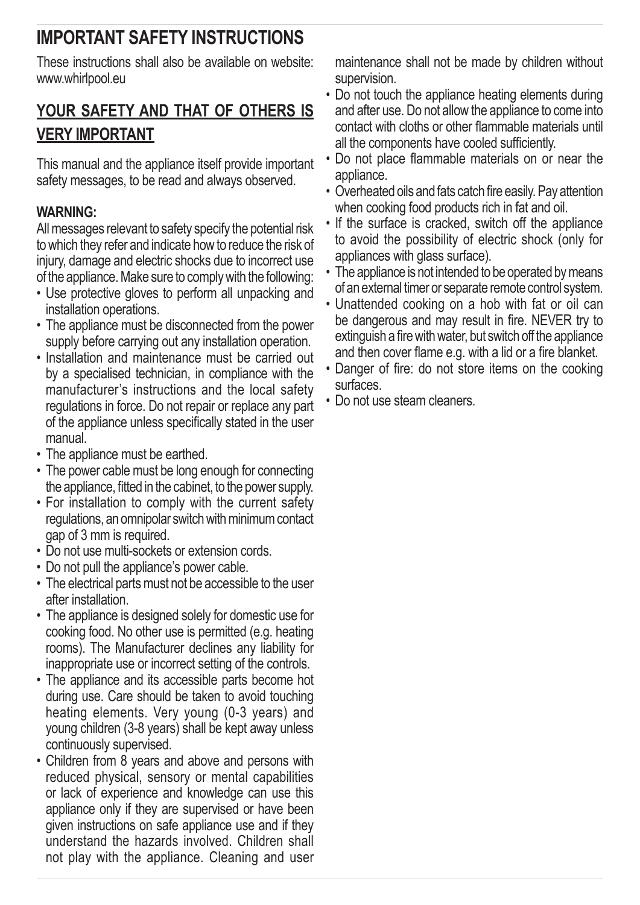## **IMPORTANT SAFETY INSTRUCTIONS**

These instructions shall also be available on website: www.whirlpool.eu

### **YOUR SAFETY AND THAT OF OTHERS IS VERY IMPORTANT**

This manual and the appliance itself provide important safety messages, to be read and always observed.

### **WARNING:**

All messages relevant to safety specify the potential risk to which they refer and indicate how to reduce the risk of injury, damage and electric shocks due to incorrect use of the appliance. Make sure to comply with the following:

- Use protective gloves to perform all unpacking and installation operations.
- The appliance must be disconnected from the power supply before carrying out any installation operation.
- Installation and maintenance must be carried out by a specialised technician, in compliance with the manufacturer's instructions and the local safety regulations in force. Do not repair or replace any part of the appliance unless specifically stated in the user manual.
- The appliance must be earthed.
- The power cable must be long enough for connecting the appliance, fitted in the cabinet, to the power supply.
- For installation to comply with the current safety regulations, an omnipolar switch with minimum contact gap of 3 mm is required.
- Do not use multi-sockets or extension cords.
- Do not pull the appliance's power cable.
- The electrical parts must not be accessible to the user after installation.
- The appliance is designed solely for domestic use for cooking food. No other use is permitted (e.g. heating rooms). The Manufacturer declines any liability for inappropriate use or incorrect setting of the controls.
- The appliance and its accessible parts become hot during use. Care should be taken to avoid touching heating elements. Very young (0-3 years) and young children (3-8 years) shall be kept away unless continuously supervised.
- Children from 8 years and above and persons with reduced physical, sensory or mental capabilities or lack of experience and knowledge can use this appliance only if they are supervised or have been given instructions on safe appliance use and if they understand the hazards involved. Children shall not play with the appliance. Cleaning and user

maintenance shall not be made by children without supervision.

- Do not touch the appliance heating elements during and after use. Do not allow the appliance to come into contact with cloths or other flammable materials until all the components have cooled sufficiently.
- Do not place flammable materials on or near the appliance.
- Overheated oils and fats catch fire easily. Pay attention when cooking food products rich in fat and oil.
- If the surface is cracked, switch off the appliance to avoid the possibility of electric shock (only for appliances with glass surface).
- The appliance is not intended to be operated by means of an external timer or separate remote control system.
- Unattended cooking on a hob with fat or oil can be dangerous and may result in fire. NEVER try to extinguish a fire with water, but switch off the appliance and then cover flame e.g. with a lid or a fire blanket.
- Danger of fire: do not store items on the cooking surfaces.
- Do not use steam cleaners.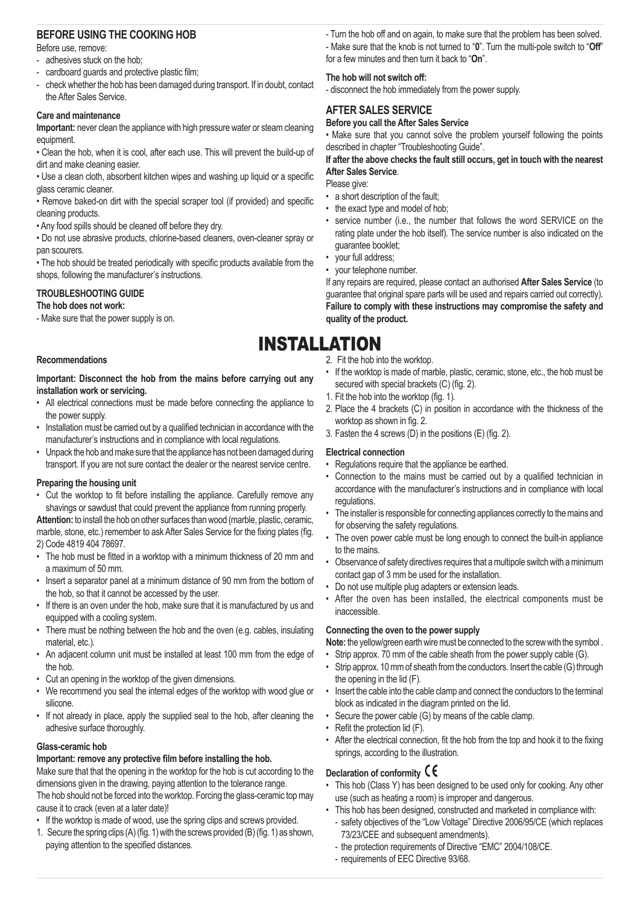#### **BEFORE USING THE COOKING HOB**

#### Before use, remove:

- adhesives stuck on the hob;
- cardboard quards and protective plastic film;
- check whether the hob has been damaged during transport. If in doubt, contact the After Sales Service.

#### **Care and maintenance**

**Important:** never clean the appliance with high pressure water or steam cleaning equipment.

• Clean the hob, when it is cool, after each use. This will prevent the build-up of dirt and make cleaning easier.

• Use a clean cloth, absorbent kitchen wipes and washing up liquid or a specific glass ceramic cleaner.

• Remove baked-on dirt with the special scraper tool (if provided) and specific cleaning products.

• Any food spills should be cleaned off before they dry.

• Do not use abrasive products, chlorine-based cleaners, oven-cleaner spray or pan scourers.

• The hob should be treated periodically with specific products available from the shops, following the manufacturer's instructions.

#### **TROUBLESHOOTING GUIDE**

#### **The hob does not work:**

- Make sure that the power supply is on.

#### **Recommendations**

**Important: Disconnect the hob from the mains before carrying out any installation work or servicing.**

- All electrical connections must be made before connecting the appliance to the power supply.
- Installation must be carried out by a qualified technician in accordance with the manufacturer's instructions and in compliance with local regulations.
- Unpack the hob and make sure that the appliance has not been damaged during transport. If you are not sure contact the dealer or the nearest service centre.

#### **Preparing the housing unit**

• Cut the worktop to fit before installing the appliance. Carefully remove any shavings or sawdust that could prevent the appliance from running properly.

**Attention:** to install the hob on other surfaces than wood (marble, plastic, ceramic, marble, stone, etc.) remember to ask After Sales Service for the fixing plates (fig. 2) Code 4819 404 78697.

- The hob must be fitted in a worktop with a minimum thickness of 20 mm and a maximum of 50 mm.
- Insert a separator panel at a minimum distance of 90 mm from the bottom of the hob, so that it cannot be accessed by the user.
- If there is an oven under the hob, make sure that it is manufactured by us and equipped with a cooling system.
- There must be nothing between the hob and the oven (e.g. cables, insulating material, etc.).
- An adjacent column unit must be installed at least 100 mm from the edge of the hob.
- Cut an opening in the worktop of the given dimensions.
- We recommend you seal the internal edges of the worktop with wood glue or silicone.
- If not already in place, apply the supplied seal to the hob, after cleaning the adhesive surface thoroughly.

#### **Glass-ceramic hob**

#### **Important: remove any protective film before installing the hob.**

Make sure that that the opening in the worktop for the hob is cut according to the dimensions given in the drawing, paying attention to the tolerance range. The hob should not be forced into the worktop. Forcing the glass-ceramic top may cause it to crack (even at a later date)!

- If the worktop is made of wood, use the spring clips and screws provided.
- 1. Secure the spring clips (A) (fig. 1) with the screws provided (B) (fig. 1) as shown, paying attention to the specified distances.

- Turn the hob off and on again, to make sure that the problem has been solved. - Make sure that the knob is not turned to "**0**". Turn the multi-pole switch to "**Off**" for a few minutes and then turn it back to "**On**".

#### **The hob will not switch off:**

- disconnect the hob immediately from the power supply.

#### **AFTER SALES SERVICE**

#### **Before you call the After Sales Service**

• Make sure that you cannot solve the problem yourself following the points described in chapter "Troubleshooting Guide".

**If after the above checks the fault still occurs, get in touch with the nearest After Sales Service**.

Please give:

- a short description of the fault:
- the exact type and model of hob;
- service number (i.e., the number that follows the word SERVICE on the rating plate under the hob itself). The service number is also indicated on the guarantee booklet;
- your full address;
- your telephone number.

If any repairs are required, please contact an authorised **After Sales Service** (to guarantee that original spare parts will be used and repairs carried out correctly). **Failure to comply with these instructions may compromise the safety and quality of the product.**

### INSTALLATION

- 2. Fit the hob into the worktop.
- If the worktop is made of marble, plastic, ceramic, stone, etc., the hob must be secured with special brackets (C) (fig. 2).
- 1. Fit the hob into the worktop (fig. 1).
- 2. Place the 4 brackets (C) in position in accordance with the thickness of the worktop as shown in fig. 2.
- 3. Fasten the 4 screws (D) in the positions (E) (fig. 2).

#### **Electrical connection**

- Regulations require that the appliance be earthed.
- Connection to the mains must be carried out by a qualified technician in accordance with the manufacturer's instructions and in compliance with local regulations.
- The installer is responsible for connecting appliances correctly to the mains and for observing the safety regulations.
- The oven power cable must be long enough to connect the built-in appliance to the mains.
- Observance of safety directives requires that a multipole switch with a minimum contact gap of 3 mm be used for the installation.
- Do not use multiple plug adapters or extension leads.
- After the oven has been installed, the electrical components must be inaccessible.

#### **Connecting the oven to the power supply**

**Note:** the yellow/green earth wire must be connected to the screw with the symbol .

- Strip approx, 70 mm of the cable sheath from the power supply cable (G).
- Strip approx. 10 mm of sheath from the conductors. Insert the cable (G) through the opening in the lid (F).
- Insert the cable into the cable clamp and connect the conductors to the terminal block as indicated in the diagram printed on the lid.
- Secure the power cable (G) by means of the cable clamp.
- Refit the protection lid (F).
- After the electrical connection, fit the hob from the top and hook it to the fixing springs, according to the illustration.

#### **Declaration of conformity**

- This hob (Class Y) has been designed to be used only for cooking. Any other use (such as heating a room) is improper and dangerous.
- This hob has been designed, constructed and marketed in compliance with: - safety objectives of the "Low Voltage" Directive 2006/95/CE (which replaces
	- 73/23/CEE and subsequent amendments). - the protection requirements of Directive "EMC" 2004/108/CE.
	- requirements of EEC Directive 93/68.